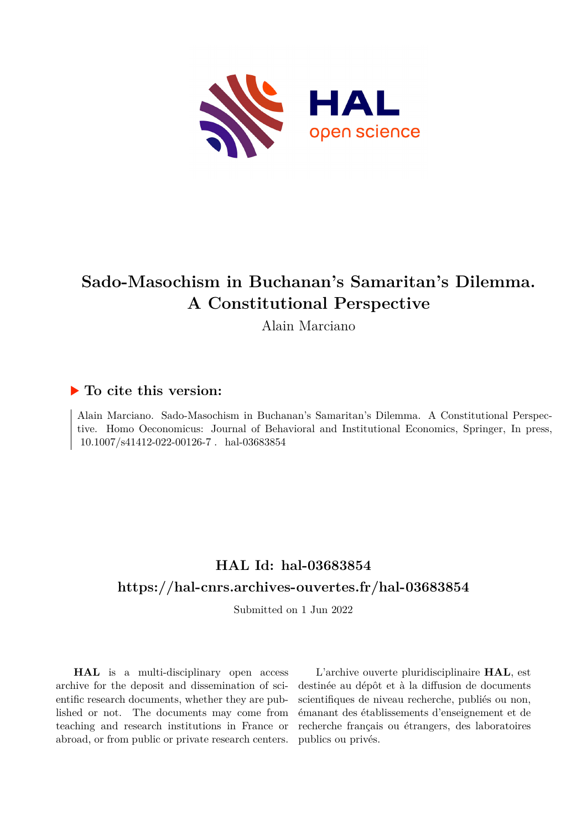

# **Sado-Masochism in Buchanan's Samaritan's Dilemma. A Constitutional Perspective**

Alain Marciano

## **To cite this version:**

Alain Marciano. Sado-Masochism in Buchanan's Samaritan's Dilemma. A Constitutional Perspective. Homo Oeconomicus: Journal of Behavioral and Institutional Economics, Springer, In press,  $10.1007/s41412-022-00126-7$ . hal-03683854

## **HAL Id: hal-03683854 <https://hal-cnrs.archives-ouvertes.fr/hal-03683854>**

Submitted on 1 Jun 2022

**HAL** is a multi-disciplinary open access archive for the deposit and dissemination of scientific research documents, whether they are published or not. The documents may come from teaching and research institutions in France or abroad, or from public or private research centers.

L'archive ouverte pluridisciplinaire **HAL**, est destinée au dépôt et à la diffusion de documents scientifiques de niveau recherche, publiés ou non, émanant des établissements d'enseignement et de recherche français ou étrangers, des laboratoires publics ou privés.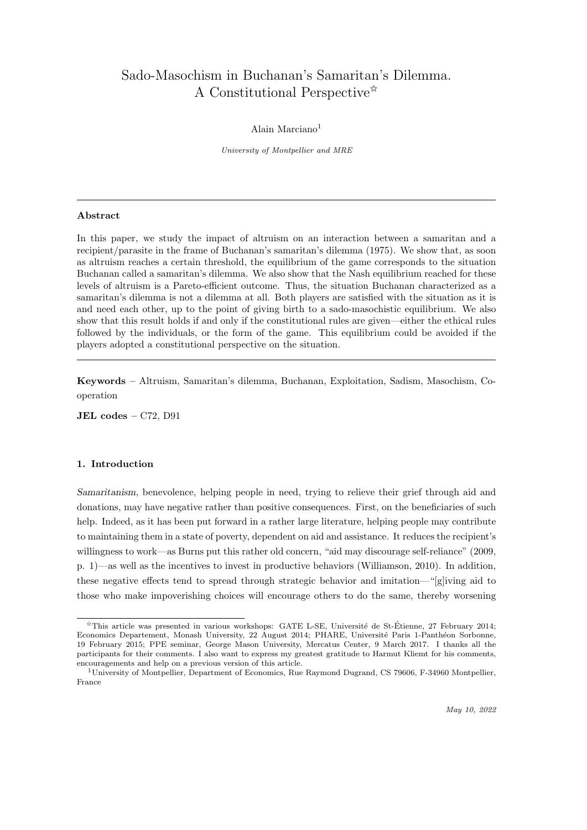## Sado-Masochism in Buchanan's Samaritan's Dilemma. A Constitutional Perspective $\hat{z}$

#### Alain Marciano<sup>1</sup>

University of Montpellier and MRE

#### Abstract

In this paper, we study the impact of altruism on an interaction between a samaritan and a recipient/parasite in the frame of Buchanan's samaritan's dilemma (1975). We show that, as soon as altruism reaches a certain threshold, the equilibrium of the game corresponds to the situation Buchanan called a samaritan's dilemma. We also show that the Nash equilibrium reached for these levels of altruism is a Pareto-efficient outcome. Thus, the situation Buchanan characterized as a samaritan's dilemma is not a dilemma at all. Both players are satisfied with the situation as it is and need each other, up to the point of giving birth to a sado-masochistic equilibrium. We also show that this result holds if and only if the constitutional rules are given—either the ethical rules followed by the individuals, or the form of the game. This equilibrium could be avoided if the players adopted a constitutional perspective on the situation.

Keywords – Altruism, Samaritan's dilemma, Buchanan, Exploitation, Sadism, Masochism, Cooperation

JEL  $codes - C72$ , D $91$ 

#### 1. Introduction

Samaritanism, benevolence, helping people in need, trying to relieve their grief through aid and donations, may have negative rather than positive consequences. First, on the beneficiaries of such help. Indeed, as it has been put forward in a rather large literature, helping people may contribute to maintaining them in a state of poverty, dependent on aid and assistance. It reduces the recipient's willingness to work—as Burns put this rather old concern, "aid may discourage self-reliance" (2009, p. 1)—as well as the incentives to invest in productive behaviors (Williamson, 2010). In addition, these negative effects tend to spread through strategic behavior and imitation—"[g]iving aid to those who make impoverishing choices will encourage others to do the same, thereby worsening

<sup>✩</sup>This article was presented in various workshops: GATE L-SE, Universit´e de St-Etienne, 27 February 2014; ´ Economics Departement, Monash University, 22 August 2014; PHARE, Université Paris 1-Panthéon Sorbonne, 19 February 2015; PPE seminar, George Mason University, Mercatus Center, 9 March 2017. I thanks all the participants for their comments. I also want to express my greatest gratitude to Harmut Kliemt for his comments, encouragements and help on a previous version of this article.

<sup>1</sup>University of Montpellier, Department of Economics, Rue Raymond Dugrand, CS 79606, F-34960 Montpellier, France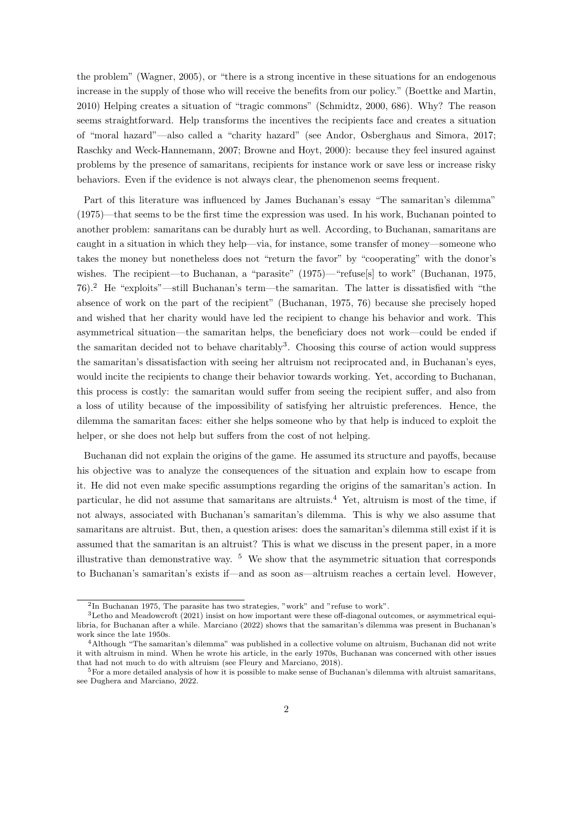the problem" (Wagner, 2005), or "there is a strong incentive in these situations for an endogenous increase in the supply of those who will receive the benefits from our policy." (Boettke and Martin, 2010) Helping creates a situation of "tragic commons" (Schmidtz, 2000, 686). Why? The reason seems straightforward. Help transforms the incentives the recipients face and creates a situation of "moral hazard"—also called a "charity hazard" (see Andor, Osberghaus and Simora, 2017; Raschky and Weck-Hannemann, 2007; Browne and Hoyt, 2000): because they feel insured against problems by the presence of samaritans, recipients for instance work or save less or increase risky behaviors. Even if the evidence is not always clear, the phenomenon seems frequent.

Part of this literature was influenced by James Buchanan's essay "The samaritan's dilemma" (1975)—that seems to be the first time the expression was used. In his work, Buchanan pointed to another problem: samaritans can be durably hurt as well. According, to Buchanan, samaritans are caught in a situation in which they help—via, for instance, some transfer of money—someone who takes the money but nonetheless does not "return the favor" by "cooperating" with the donor's wishes. The recipient—to Buchanan, a "parasite" (1975)— "refuse<sup>[s]</sup> to work" (Buchanan, 1975, 76).<sup>2</sup> He "exploits"—still Buchanan's term—the samaritan. The latter is dissatisfied with "the absence of work on the part of the recipient" (Buchanan, 1975, 76) because she precisely hoped and wished that her charity would have led the recipient to change his behavior and work. This asymmetrical situation—the samaritan helps, the beneficiary does not work—could be ended if the samaritan decided not to behave charitably<sup>3</sup>. Choosing this course of action would suppress the samaritan's dissatisfaction with seeing her altruism not reciprocated and, in Buchanan's eyes, would incite the recipients to change their behavior towards working. Yet, according to Buchanan, this process is costly: the samaritan would suffer from seeing the recipient suffer, and also from a loss of utility because of the impossibility of satisfying her altruistic preferences. Hence, the dilemma the samaritan faces: either she helps someone who by that help is induced to exploit the helper, or she does not help but suffers from the cost of not helping.

Buchanan did not explain the origins of the game. He assumed its structure and payoffs, because his objective was to analyze the consequences of the situation and explain how to escape from it. He did not even make specific assumptions regarding the origins of the samaritan's action. In particular, he did not assume that samaritans are altruists.<sup>4</sup> Yet, altruism is most of the time, if not always, associated with Buchanan's samaritan's dilemma. This is why we also assume that samaritans are altruist. But, then, a question arises: does the samaritan's dilemma still exist if it is assumed that the samaritan is an altruist? This is what we discuss in the present paper, in a more illustrative than demonstrative way.  $5\,$  We show that the asymmetric situation that corresponds to Buchanan's samaritan's exists if—and as soon as—altruism reaches a certain level. However,

<sup>&</sup>lt;sup>2</sup>In Buchanan 1975, The parasite has two strategies, "work" and "refuse to work".

<sup>3</sup>Letho and Meadowcroft (2021) insist on how important were these off-diagonal outcomes, or asymmetrical equilibria, for Buchanan after a while. Marciano (2022) shows that the samaritan's dilemma was present in Buchanan's work since the late 1950s.

<sup>4</sup>Although "The samaritan's dilemma" was published in a collective volume on altruism, Buchanan did not write it with altruism in mind. When he wrote his article, in the early 1970s, Buchanan was concerned with other issues that had not much to do with altruism (see Fleury and Marciano, 2018).

<sup>5</sup>For a more detailed analysis of how it is possible to make sense of Buchanan's dilemma with altruist samaritans, see Dughera and Marciano, 2022.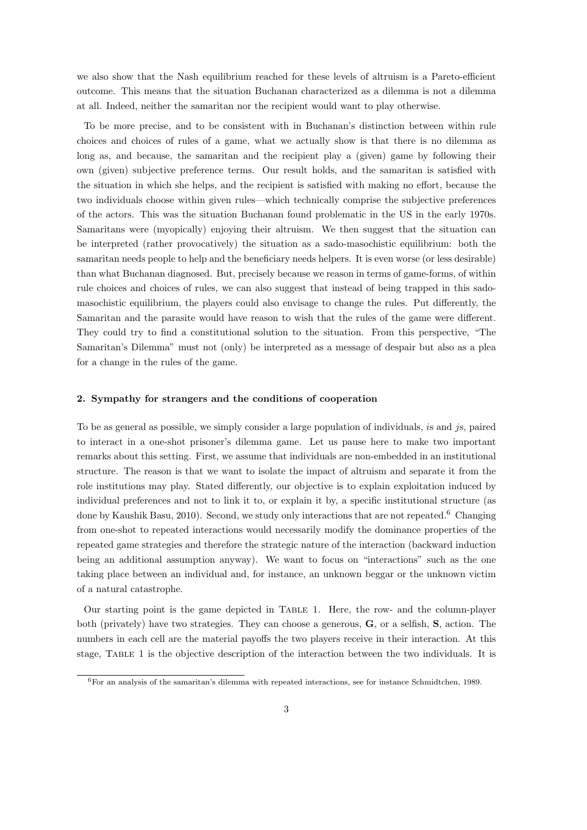we also show that the Nash equilibrium reached for these levels of altruism is a Pareto-efficient outcome. This means that the situation Buchanan characterized as a dilemma is not a dilemma at all. Indeed, neither the samaritan nor the recipient would want to play otherwise.

To be more precise, and to be consistent with in Buchanan's distinction between within rule choices and choices of rules of a game, what we actually show is that there is no dilemma as long as, and because, the samaritan and the recipient play a (given) game by following their own (given) subjective preference terms. Our result holds, and the samaritan is satisfied with the situation in which she helps, and the recipient is satisfied with making no effort, because the two individuals choose within given rules—which technically comprise the subjective preferences of the actors. This was the situation Buchanan found problematic in the US in the early 1970s. Samaritans were (myopically) enjoying their altruism. We then suggest that the situation can be interpreted (rather provocatively) the situation as a sado-masochistic equilibrium: both the samaritan needs people to help and the beneficiary needs helpers. It is even worse (or less desirable) than what Buchanan diagnosed. But, precisely because we reason in terms of game-forms, of within rule choices and choices of rules, we can also suggest that instead of being trapped in this sadomasochistic equilibrium, the players could also envisage to change the rules. Put differently, the Samaritan and the parasite would have reason to wish that the rules of the game were different. They could try to find a constitutional solution to the situation. From this perspective, "The Samaritan's Dilemma" must not (only) be interpreted as a message of despair but also as a plea for a change in the rules of the game.

#### 2. Sympathy for strangers and the conditions of cooperation

To be as general as possible, we simply consider a large population of individuals, is and js, paired to interact in a one-shot prisoner's dilemma game. Let us pause here to make two important remarks about this setting. First, we assume that individuals are non-embedded in an institutional structure. The reason is that we want to isolate the impact of altruism and separate it from the role institutions may play. Stated differently, our objective is to explain exploitation induced by individual preferences and not to link it to, or explain it by, a specific institutional structure (as done by Kaushik Basu, 2010). Second, we study only interactions that are not repeated.<sup>6</sup> Changing from one-shot to repeated interactions would necessarily modify the dominance properties of the repeated game strategies and therefore the strategic nature of the interaction (backward induction being an additional assumption anyway). We want to focus on "interactions" such as the one taking place between an individual and, for instance, an unknown beggar or the unknown victim of a natural catastrophe.

Our starting point is the game depicted in Table 1. Here, the row- and the column-player both (privately) have two strategies. They can choose a generous, G, or a selfish, S, action. The numbers in each cell are the material payoffs the two players receive in their interaction. At this stage, Table 1 is the objective description of the interaction between the two individuals. It is

<sup>6</sup>For an analysis of the samaritan's dilemma with repeated interactions, see for instance Schmidtchen, 1989.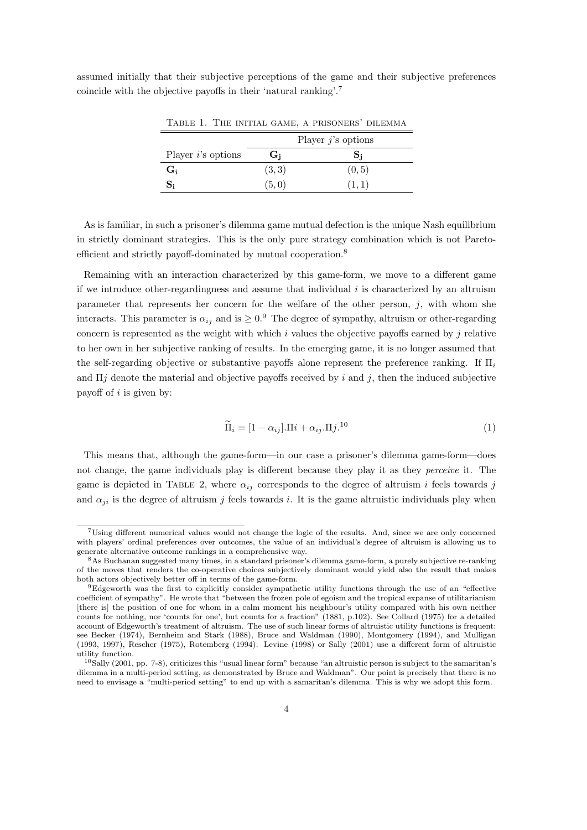assumed initially that their subjective perceptions of the game and their subjective preferences coincide with the objective payoffs in their 'natural ranking'.<sup>7</sup>

|                       | Player $j$ 's options |        |  |
|-----------------------|-----------------------|--------|--|
| Player $i$ 's options | G:                    | D:     |  |
| $G_i$                 | (3, 3)                | (0, 5) |  |
| $S_i$                 | (5,0)                 | (1,1)  |  |

Table 1. The initial game, a prisoners' dilemma

As is familiar, in such a prisoner's dilemma game mutual defection is the unique Nash equilibrium in strictly dominant strategies. This is the only pure strategy combination which is not Paretoefficient and strictly payoff-dominated by mutual cooperation.<sup>8</sup>

Remaining with an interaction characterized by this game-form, we move to a different game if we introduce other-regardingness and assume that individual  $i$  is characterized by an altruism parameter that represents her concern for the welfare of the other person,  $j$ , with whom she interacts. This parameter is  $\alpha_{ij}$  and is  $\geq 0.9$  The degree of sympathy, altruism or other-regarding concern is represented as the weight with which  $i$  values the objective payoffs earned by  $j$  relative to her own in her subjective ranking of results. In the emerging game, it is no longer assumed that the self-regarding objective or substantive payoffs alone represent the preference ranking. If  $\Pi_i$ and  $\Pi j$  denote the material and objective payoffs received by i and j, then the induced subjective payoff of  $i$  is given by:

$$
\widetilde{\Pi}_i = [1 - \alpha_{ij}].\Pi i + \alpha_{ij}.\Pi j.^{10}
$$
\n(1)

This means that, although the game-form—in our case a prisoner's dilemma game-form—does not change, the game individuals play is different because they play it as they *perceive* it. The game is depicted in TABLE 2, where  $\alpha_{ij}$  corresponds to the degree of altruism i feels towards j and  $\alpha_{ji}$  is the degree of altruism j feels towards i. It is the game altruistic individuals play when

<sup>7</sup>Using different numerical values would not change the logic of the results. And, since we are only concerned with players' ordinal preferences over outcomes, the value of an individual's degree of altruism is allowing us to generate alternative outcome rankings in a comprehensive way.

<sup>8</sup>As Buchanan suggested many times, in a standard prisoner's dilemma game-form, a purely subjective re-ranking of the moves that renders the co-operative choices subjectively dominant would yield also the result that makes both actors objectively better off in terms of the game-form.

<sup>9</sup>Edgeworth was the first to explicitly consider sympathetic utility functions through the use of an "effective coefficient of sympathy". He wrote that "between the frozen pole of egoism and the tropical expanse of utilitarianism [there is] the position of one for whom in a calm moment his neighbour's utility compared with his own neither counts for nothing, nor 'counts for one', but counts for a fraction" (1881, p.102). See Collard (1975) for a detailed account of Edgeworth's treatment of altruism. The use of such linear forms of altruistic utility functions is frequent: see Becker (1974), Bernheim and Stark (1988), Bruce and Waldman (1990), Montgomery (1994), and Mulligan (1993, 1997), Rescher (1975), Rotemberg (1994). Levine (1998) or Sally (2001) use a different form of altruistic utility function.

<sup>10</sup>Sally (2001, pp. 7-8), criticizes this "usual linear form" because "an altruistic person is subject to the samaritan's dilemma in a multi-period setting, as demonstrated by Bruce and Waldman". Our point is precisely that there is no need to envisage a "multi-period setting" to end up with a samaritan's dilemma. This is why we adopt this form.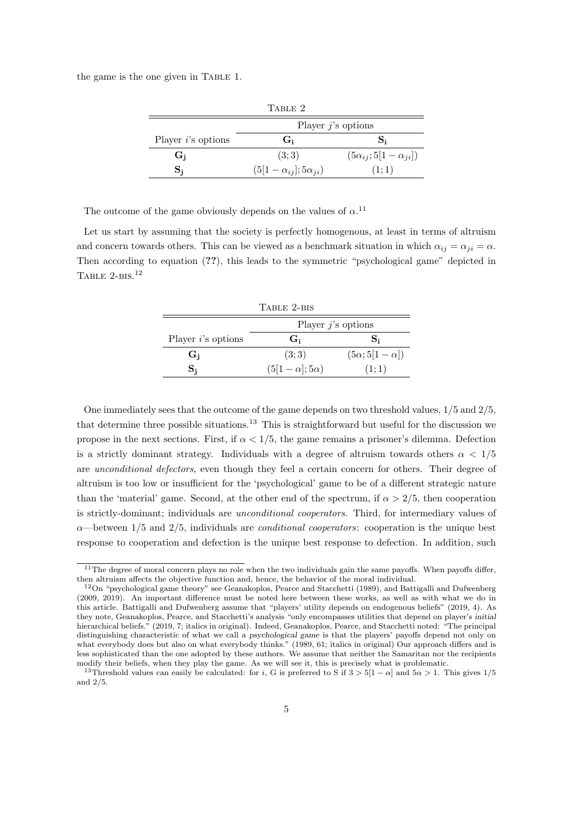the game is the one given in Table 1.

| TABLE 2               |                                    |                                    |  |  |
|-----------------------|------------------------------------|------------------------------------|--|--|
|                       | Player $j$ 's options              |                                    |  |  |
| Player $i$ 's options | G <sub>i</sub>                     |                                    |  |  |
| $G_i$                 | (3; 3)                             | $(5\alpha_{ij}; 5[1-\alpha_{ji}])$ |  |  |
|                       | $(5[1-\alpha_{ij}]; 5\alpha_{ji})$ | (1;1)                              |  |  |

The outcome of the game obviously depends on the values of  $\alpha$ .<sup>11</sup>

Let us start by assuming that the society is perfectly homogenous, at least in terms of altruism and concern towards others. This can be viewed as a benchmark situation in which  $\alpha_{ij} = \alpha_{ji} = \alpha$ . Then according to equation (??), this leads to the symmetric "psychological game" depicted in Table 2-bis. 12

| TABLE 2-BIS           |                         |                          |  |  |
|-----------------------|-------------------------|--------------------------|--|--|
|                       | Player $j$ 's options   |                          |  |  |
| Player $i$ 's options | G:                      | S:                       |  |  |
| G <sub>i</sub>        | (3; 3)                  | $(5\alpha; 5[1-\alpha])$ |  |  |
| S,                    | $(5[1-\alpha];5\alpha)$ | (1;1)                    |  |  |

One immediately sees that the outcome of the game depends on two threshold values,  $1/5$  and  $2/5$ , that determine three possible situations.<sup>13</sup> This is straightforward but useful for the discussion we propose in the next sections. First, if  $\alpha < 1/5$ , the game remains a prisoner's dilemma. Defection is a strictly dominant strategy. Individuals with a degree of altruism towards others  $\alpha < 1/5$ are unconditional defectors, even though they feel a certain concern for others. Their degree of altruism is too low or insufficient for the 'psychological' game to be of a different strategic nature than the 'material' game. Second, at the other end of the spectrum, if  $\alpha > 2/5$ , then cooperation is strictly-dominant; individuals are unconditional cooperators. Third, for intermediary values of  $\alpha$ —between 1/5 and 2/5, individuals are *conditional cooperators*: cooperation is the unique best response to cooperation and defection is the unique best response to defection. In addition, such

 $11$ The degree of moral concern plays no role when the two individuals gain the same payoffs. When payoffs differ, then altruism affects the objective function and, hence, the behavior of the moral individual.

<sup>12</sup>On "psychological game theory" see Geanakoplos, Pearce and Stacchetti (1989), and Battigalli and Dufwenberg (2009, 2019). An important difference must be noted here between these works, as well as with what we do in this article. Battigalli and Dufwenberg assume that "players' utility depends on endogenous beliefs" (2019, 4). As they note, Geanakoplos, Pearce, and Stacchetti's analysis "only encompasses utilities that depend on player's initial hierarchical beliefs." (2019, 7; italics in original). Indeed, Geanakoplos, Pearce, and Stacchetti noted: "The principal distinguishing characteristic of what we call a psychological game is that the players' payoffs depend not only on what everybody does but also on what everybody thinks." (1989, 61; italics in original) Our approach differs and is less sophisticated than the one adopted by these authors. We assume that neither the Samaritan nor the recipients modify their beliefs, when they play the game. As we will see it, this is precisely what is problematic.

<sup>&</sup>lt;sup>13</sup>Threshold values can easily be calculated: for i, G is preferred to S if  $3 > 5(1 - \alpha)$  and  $5\alpha > 1$ . This gives 1/5 and 2/5.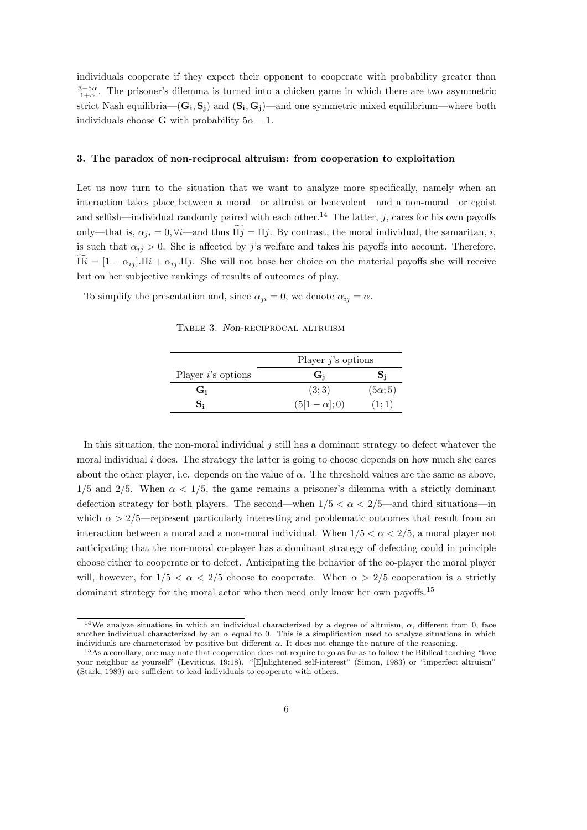individuals cooperate if they expect their opponent to cooperate with probability greater than  $\frac{3-5\alpha}{1+\alpha}$ . The prisoner's dilemma is turned into a chicken game in which there are two asymmetric strict Nash equilibria— $(G_i, S_j)$  and  $(S_i, G_j)$ —and one symmetric mixed equilibrium—where both individuals choose **G** with probability  $5\alpha - 1$ .

#### 3. The paradox of non-reciprocal altruism: from cooperation to exploitation

Let us now turn to the situation that we want to analyze more specifically, namely when an interaction takes place between a moral—or altruist or benevolent—and a non-moral—or egoist and selfish—individual randomly paired with each other.<sup>14</sup> The latter, j, cares for his own payoffs only—that is,  $\alpha_{ii} = 0$ ,  $\forall i$ —and thus  $\widetilde{\Pi}i = \Pi j$ . By contrast, the moral individual, the samaritan, i, is such that  $\alpha_{ij} > 0$ . She is affected by j's welfare and takes his payoffs into account. Therefore,  $\Pi i = [1 - \alpha_{ij}] \cdot \Pi i + \alpha_{ij} \cdot \Pi j$ . She will not base her choice on the material payoffs she will receive but on her subjective rankings of results of outcomes of play.

To simplify the presentation and, since  $\alpha_{ji} = 0$ , we denote  $\alpha_{ij} = \alpha$ .

Table 3. Non-reciprocal altruism

|                       | Player $j$ 's options |                |  |
|-----------------------|-----------------------|----------------|--|
| Player $i$ 's options | G:                    |                |  |
| G:                    | (3; 3)                | $(5\alpha; 5)$ |  |
|                       | $(5[1-\alpha];0)$     | (1:1)          |  |

In this situation, the non-moral individual  $j$  still has a dominant strategy to defect whatever the moral individual  $i$  does. The strategy the latter is going to choose depends on how much she cares about the other player, i.e. depends on the value of  $\alpha$ . The threshold values are the same as above,  $1/5$  and  $2/5$ . When  $\alpha < 1/5$ , the game remains a prisoner's dilemma with a strictly dominant defection strategy for both players. The second—when  $1/5 < \alpha < 2/5$ —and third situations—in which  $\alpha > 2/5$ —represent particularly interesting and problematic outcomes that result from an interaction between a moral and a non-moral individual. When  $1/5 < \alpha < 2/5$ , a moral player not anticipating that the non-moral co-player has a dominant strategy of defecting could in principle choose either to cooperate or to defect. Anticipating the behavior of the co-player the moral player will, however, for  $1/5 < \alpha < 2/5$  choose to cooperate. When  $\alpha > 2/5$  cooperation is a strictly dominant strategy for the moral actor who then need only know her own payoffs.<sup>15</sup>

<sup>&</sup>lt;sup>14</sup>We analyze situations in which an individual characterized by a degree of altruism,  $\alpha$ , different from 0, face another individual characterized by an  $\alpha$  equal to 0. This is a simplification used to analyze situations in which individuals are characterized by positive but different  $\alpha$ . It does not change the nature of the reasoning.

<sup>&</sup>lt;sup>15</sup>As a corollary, one may note that cooperation does not require to go as far as to follow the Biblical teaching "love your neighbor as yourself" (Leviticus, 19:18). "[E]nlightened self-interest" (Simon, 1983) or "imperfect altruism" (Stark, 1989) are sufficient to lead individuals to cooperate with others.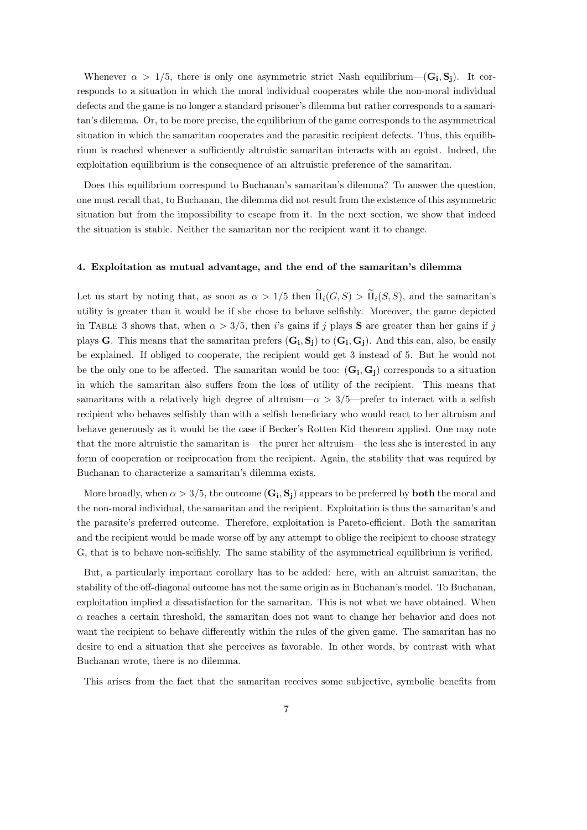Whenever  $\alpha > 1/5$ , there is only one asymmetric strict Nash equilibrium—( $\mathbf{G_i}, \mathbf{S_j}$ ). It corresponds to a situation in which the moral individual cooperates while the non-moral individual defects and the game is no longer a standard prisoner's dilemma but rather corresponds to a samaritan's dilemma. Or, to be more precise, the equilibrium of the game corresponds to the asymmetrical situation in which the samaritan cooperates and the parasitic recipient defects. Thus, this equilibrium is reached whenever a sufficiently altruistic samaritan interacts with an egoist. Indeed, the exploitation equilibrium is the consequence of an altruistic preference of the samaritan.

Does this equilibrium correspond to Buchanan's samaritan's dilemma? To answer the question, one must recall that, to Buchanan, the dilemma did not result from the existence of this asymmetric situation but from the impossibility to escape from it. In the next section, we show that indeed the situation is stable. Neither the samaritan nor the recipient want it to change.

#### 4. Exploitation as mutual advantage, and the end of the samaritan's dilemma

Let us start by noting that, as soon as  $\alpha > 1/5$  then  $\tilde{\Pi}_i(G, S) > \tilde{\Pi}_i(S, S)$ , and the samaritan's utility is greater than it would be if she chose to behave selfishly. Moreover, the game depicted in TABLE 3 shows that, when  $\alpha > 3/5$ , then is gains if j plays S are greater than her gains if j plays G. This means that the samaritan prefers  $(G_i, S_j)$  to  $(G_i, G_j)$ . And this can, also, be easily be explained. If obliged to cooperate, the recipient would get 3 instead of 5. But he would not be the only one to be affected. The samaritan would be too:  $(G_i, G_j)$  corresponds to a situation in which the samaritan also suffers from the loss of utility of the recipient. This means that samaritans with a relatively high degree of altruism— $\alpha > 3/5$ —prefer to interact with a selfish recipient who behaves selfishly than with a selfish beneficiary who would react to her altruism and behave generously as it would be the case if Becker's Rotten Kid theorem applied. One may note that the more altruistic the samaritan is—the purer her altruism—the less she is interested in any form of cooperation or reciprocation from the recipient. Again, the stability that was required by Buchanan to characterize a samaritan's dilemma exists.

More broadly, when  $\alpha > 3/5,$  the outcome  $(\mathbf{G_i}, \mathbf{S_j})$  appears to be preferred by  $\mathbf{both}$  the moral and the non-moral individual, the samaritan and the recipient. Exploitation is thus the samaritan's and the parasite's preferred outcome. Therefore, exploitation is Pareto-efficient. Both the samaritan and the recipient would be made worse off by any attempt to oblige the recipient to choose strategy G, that is to behave non-selfishly. The same stability of the asymmetrical equilibrium is verified.

But, a particularly important corollary has to be added: here, with an altruist samaritan, the stability of the off-diagonal outcome has not the same origin as in Buchanan's model. To Buchanan, exploitation implied a dissatisfaction for the samaritan. This is not what we have obtained. When  $\alpha$  reaches a certain threshold, the samaritan does not want to change her behavior and does not want the recipient to behave differently within the rules of the given game. The samaritan has no desire to end a situation that she perceives as favorable. In other words, by contrast with what Buchanan wrote, there is no dilemma.

This arises from the fact that the samaritan receives some subjective, symbolic benefits from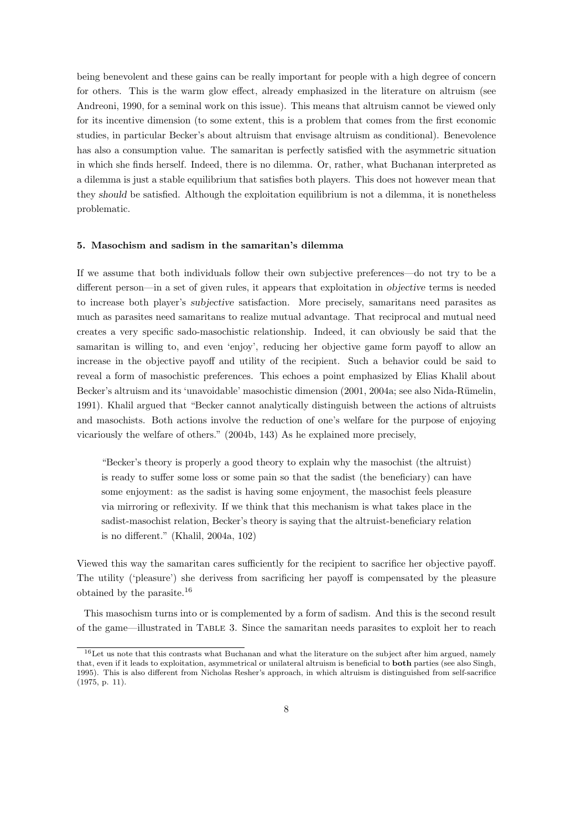being benevolent and these gains can be really important for people with a high degree of concern for others. This is the warm glow effect, already emphasized in the literature on altruism (see Andreoni, 1990, for a seminal work on this issue). This means that altruism cannot be viewed only for its incentive dimension (to some extent, this is a problem that comes from the first economic studies, in particular Becker's about altruism that envisage altruism as conditional). Benevolence has also a consumption value. The samaritan is perfectly satisfied with the asymmetric situation in which she finds herself. Indeed, there is no dilemma. Or, rather, what Buchanan interpreted as a dilemma is just a stable equilibrium that satisfies both players. This does not however mean that they should be satisfied. Although the exploitation equilibrium is not a dilemma, it is nonetheless problematic.

#### 5. Masochism and sadism in the samaritan's dilemma

If we assume that both individuals follow their own subjective preferences—do not try to be a different person—in a set of given rules, it appears that exploitation in objective terms is needed to increase both player's subjective satisfaction. More precisely, samaritans need parasites as much as parasites need samaritans to realize mutual advantage. That reciprocal and mutual need creates a very specific sado-masochistic relationship. Indeed, it can obviously be said that the samaritan is willing to, and even 'enjoy', reducing her objective game form payoff to allow an increase in the objective payoff and utility of the recipient. Such a behavior could be said to reveal a form of masochistic preferences. This echoes a point emphasized by Elias Khalil about Becker's altruism and its 'unavoidable' masochistic dimension (2001, 2004a; see also Nida-Rümelin, 1991). Khalil argued that "Becker cannot analytically distinguish between the actions of altruists and masochists. Both actions involve the reduction of one's welfare for the purpose of enjoying vicariously the welfare of others." (2004b, 143) As he explained more precisely,

"Becker's theory is properly a good theory to explain why the masochist (the altruist) is ready to suffer some loss or some pain so that the sadist (the beneficiary) can have some enjoyment: as the sadist is having some enjoyment, the masochist feels pleasure via mirroring or reflexivity. If we think that this mechanism is what takes place in the sadist-masochist relation, Becker's theory is saying that the altruist-beneficiary relation is no different." (Khalil, 2004a, 102)

Viewed this way the samaritan cares sufficiently for the recipient to sacrifice her objective payoff. The utility ('pleasure') she derivess from sacrificing her payoff is compensated by the pleasure obtained by the parasite.<sup>16</sup>

This masochism turns into or is complemented by a form of sadism. And this is the second result of the game—illustrated in Table 3. Since the samaritan needs parasites to exploit her to reach

<sup>&</sup>lt;sup>16</sup>Let us note that this contrasts what Buchanan and what the literature on the subject after him argued, namely that, even if it leads to exploitation, asymmetrical or unilateral altruism is beneficial to both parties (see also Singh, 1995). This is also different from Nicholas Resher's approach, in which altruism is distinguished from self-sacrifice (1975, p. 11).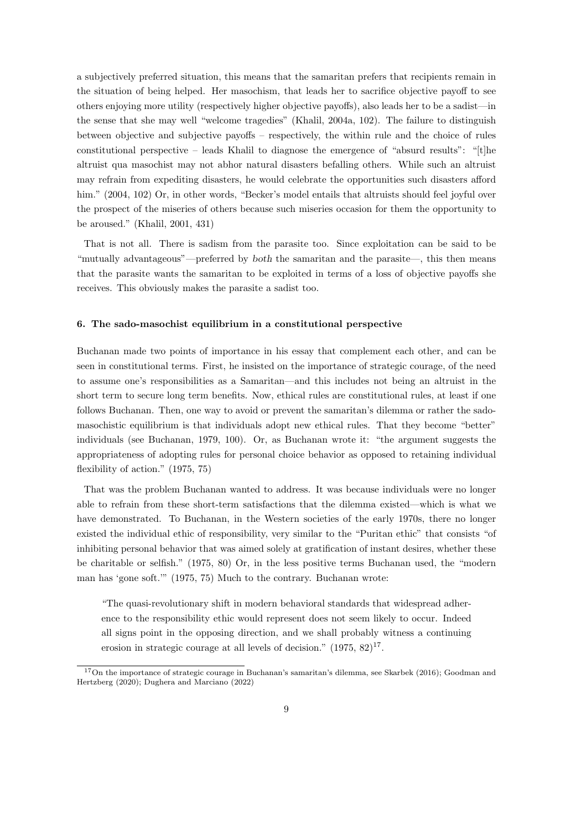a subjectively preferred situation, this means that the samaritan prefers that recipients remain in the situation of being helped. Her masochism, that leads her to sacrifice objective payoff to see others enjoying more utility (respectively higher objective payoffs), also leads her to be a sadist—in the sense that she may well "welcome tragedies" (Khalil, 2004a, 102). The failure to distinguish between objective and subjective payoffs – respectively, the within rule and the choice of rules constitutional perspective – leads Khalil to diagnose the emergence of "absurd results": " $[t]$ he altruist qua masochist may not abhor natural disasters befalling others. While such an altruist may refrain from expediting disasters, he would celebrate the opportunities such disasters afford him." (2004, 102) Or, in other words, "Becker's model entails that altruists should feel joyful over the prospect of the miseries of others because such miseries occasion for them the opportunity to be aroused." (Khalil, 2001, 431)

That is not all. There is sadism from the parasite too. Since exploitation can be said to be "mutually advantageous"—preferred by both the samaritan and the parasite—, this then means that the parasite wants the samaritan to be exploited in terms of a loss of objective payoffs she receives. This obviously makes the parasite a sadist too.

#### 6. The sado-masochist equilibrium in a constitutional perspective

Buchanan made two points of importance in his essay that complement each other, and can be seen in constitutional terms. First, he insisted on the importance of strategic courage, of the need to assume one's responsibilities as a Samaritan—and this includes not being an altruist in the short term to secure long term benefits. Now, ethical rules are constitutional rules, at least if one follows Buchanan. Then, one way to avoid or prevent the samaritan's dilemma or rather the sadomasochistic equilibrium is that individuals adopt new ethical rules. That they become "better" individuals (see Buchanan, 1979, 100). Or, as Buchanan wrote it: "the argument suggests the appropriateness of adopting rules for personal choice behavior as opposed to retaining individual flexibility of action." (1975, 75)

That was the problem Buchanan wanted to address. It was because individuals were no longer able to refrain from these short-term satisfactions that the dilemma existed—which is what we have demonstrated. To Buchanan, in the Western societies of the early 1970s, there no longer existed the individual ethic of responsibility, very similar to the "Puritan ethic" that consists "of inhibiting personal behavior that was aimed solely at gratification of instant desires, whether these be charitable or selfish." (1975, 80) Or, in the less positive terms Buchanan used, the "modern man has 'gone soft.'" (1975, 75) Much to the contrary. Buchanan wrote:

"The quasi-revolutionary shift in modern behavioral standards that widespread adherence to the responsibility ethic would represent does not seem likely to occur. Indeed all signs point in the opposing direction, and we shall probably witness a continuing erosion in strategic courage at all levels of decision."  $(1975, 82)^{17}$ .

<sup>&</sup>lt;sup>17</sup>On the importance of strategic courage in Buchanan's samaritan's dilemma, see Skarbek (2016); Goodman and Hertzberg (2020); Dughera and Marciano (2022)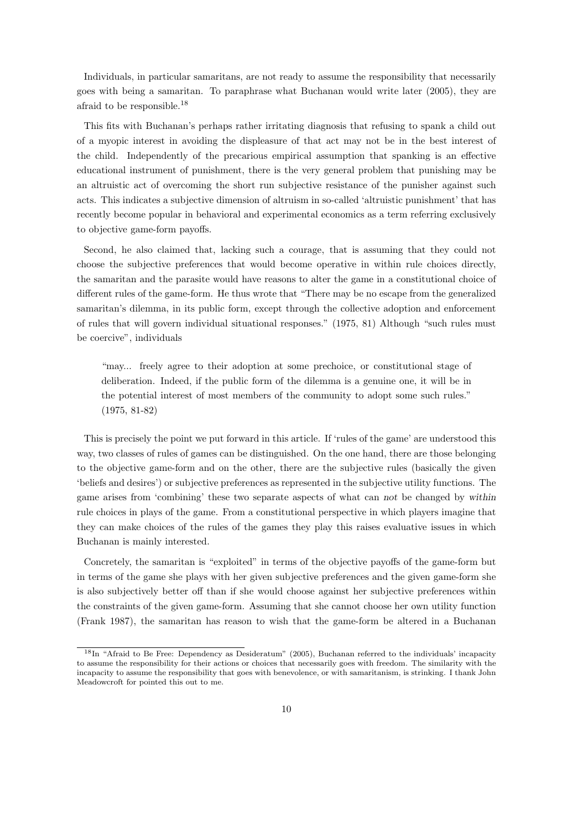Individuals, in particular samaritans, are not ready to assume the responsibility that necessarily goes with being a samaritan. To paraphrase what Buchanan would write later (2005), they are afraid to be responsible.<sup>18</sup>

This fits with Buchanan's perhaps rather irritating diagnosis that refusing to spank a child out of a myopic interest in avoiding the displeasure of that act may not be in the best interest of the child. Independently of the precarious empirical assumption that spanking is an effective educational instrument of punishment, there is the very general problem that punishing may be an altruistic act of overcoming the short run subjective resistance of the punisher against such acts. This indicates a subjective dimension of altruism in so-called 'altruistic punishment' that has recently become popular in behavioral and experimental economics as a term referring exclusively to objective game-form payoffs.

Second, he also claimed that, lacking such a courage, that is assuming that they could not choose the subjective preferences that would become operative in within rule choices directly, the samaritan and the parasite would have reasons to alter the game in a constitutional choice of different rules of the game-form. He thus wrote that "There may be no escape from the generalized samaritan's dilemma, in its public form, except through the collective adoption and enforcement of rules that will govern individual situational responses." (1975, 81) Although "such rules must be coercive", individuals

"may... freely agree to their adoption at some prechoice, or constitutional stage of deliberation. Indeed, if the public form of the dilemma is a genuine one, it will be in the potential interest of most members of the community to adopt some such rules." (1975, 81-82)

This is precisely the point we put forward in this article. If 'rules of the game' are understood this way, two classes of rules of games can be distinguished. On the one hand, there are those belonging to the objective game-form and on the other, there are the subjective rules (basically the given 'beliefs and desires') or subjective preferences as represented in the subjective utility functions. The game arises from 'combining' these two separate aspects of what can not be changed by within rule choices in plays of the game. From a constitutional perspective in which players imagine that they can make choices of the rules of the games they play this raises evaluative issues in which Buchanan is mainly interested.

Concretely, the samaritan is "exploited" in terms of the objective payoffs of the game-form but in terms of the game she plays with her given subjective preferences and the given game-form she is also subjectively better off than if she would choose against her subjective preferences within the constraints of the given game-form. Assuming that she cannot choose her own utility function (Frank 1987), the samaritan has reason to wish that the game-form be altered in a Buchanan

<sup>18</sup>In "Afraid to Be Free: Dependency as Desideratum" (2005), Buchanan referred to the individuals' incapacity to assume the responsibility for their actions or choices that necessarily goes with freedom. The similarity with the incapacity to assume the responsibility that goes with benevolence, or with samaritanism, is strinking. I thank John Meadowcroft for pointed this out to me.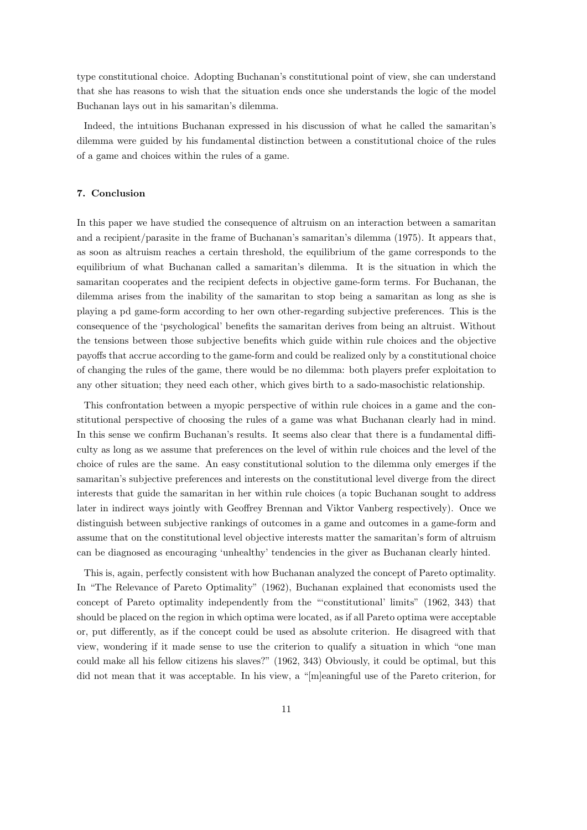type constitutional choice. Adopting Buchanan's constitutional point of view, she can understand that she has reasons to wish that the situation ends once she understands the logic of the model Buchanan lays out in his samaritan's dilemma.

Indeed, the intuitions Buchanan expressed in his discussion of what he called the samaritan's dilemma were guided by his fundamental distinction between a constitutional choice of the rules of a game and choices within the rules of a game.

#### 7. Conclusion

In this paper we have studied the consequence of altruism on an interaction between a samaritan and a recipient/parasite in the frame of Buchanan's samaritan's dilemma (1975). It appears that, as soon as altruism reaches a certain threshold, the equilibrium of the game corresponds to the equilibrium of what Buchanan called a samaritan's dilemma. It is the situation in which the samaritan cooperates and the recipient defects in objective game-form terms. For Buchanan, the dilemma arises from the inability of the samaritan to stop being a samaritan as long as she is playing a pd game-form according to her own other-regarding subjective preferences. This is the consequence of the 'psychological' benefits the samaritan derives from being an altruist. Without the tensions between those subjective benefits which guide within rule choices and the objective payoffs that accrue according to the game-form and could be realized only by a constitutional choice of changing the rules of the game, there would be no dilemma: both players prefer exploitation to any other situation; they need each other, which gives birth to a sado-masochistic relationship.

This confrontation between a myopic perspective of within rule choices in a game and the constitutional perspective of choosing the rules of a game was what Buchanan clearly had in mind. In this sense we confirm Buchanan's results. It seems also clear that there is a fundamental difficulty as long as we assume that preferences on the level of within rule choices and the level of the choice of rules are the same. An easy constitutional solution to the dilemma only emerges if the samaritan's subjective preferences and interests on the constitutional level diverge from the direct interests that guide the samaritan in her within rule choices (a topic Buchanan sought to address later in indirect ways jointly with Geoffrey Brennan and Viktor Vanberg respectively). Once we distinguish between subjective rankings of outcomes in a game and outcomes in a game-form and assume that on the constitutional level objective interests matter the samaritan's form of altruism can be diagnosed as encouraging 'unhealthy' tendencies in the giver as Buchanan clearly hinted.

This is, again, perfectly consistent with how Buchanan analyzed the concept of Pareto optimality. In "The Relevance of Pareto Optimality" (1962), Buchanan explained that economists used the concept of Pareto optimality independently from the "'constitutional' limits" (1962, 343) that should be placed on the region in which optima were located, as if all Pareto optima were acceptable or, put differently, as if the concept could be used as absolute criterion. He disagreed with that view, wondering if it made sense to use the criterion to qualify a situation in which "one man could make all his fellow citizens his slaves?" (1962, 343) Obviously, it could be optimal, but this did not mean that it was acceptable. In his view, a "[m]eaningful use of the Pareto criterion, for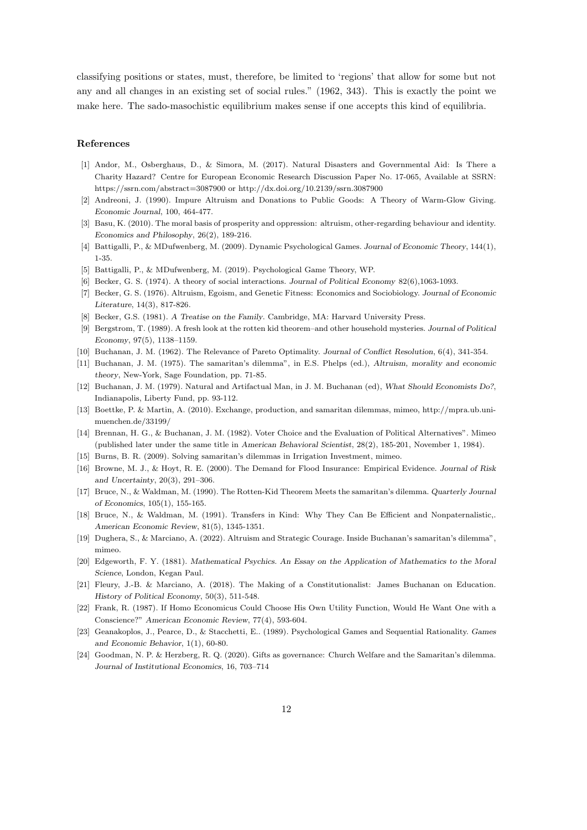classifying positions or states, must, therefore, be limited to 'regions' that allow for some but not any and all changes in an existing set of social rules." (1962, 343). This is exactly the point we make here. The sado-masochistic equilibrium makes sense if one accepts this kind of equilibria.

#### References

- [1] Andor, M., Osberghaus, D., & Simora, M. (2017). Natural Disasters and Governmental Aid: Is There a Charity Hazard? Centre for European Economic Research Discussion Paper No. 17-065, Available at SSRN: https://ssrn.com/abstract=3087900 or http://dx.doi.org/10.2139/ssrn.3087900
- [2] Andreoni, J. (1990). Impure Altruism and Donations to Public Goods: A Theory of Warm-Glow Giving. Economic Journal, 100, 464-477.
- [3] Basu, K. (2010). The moral basis of prosperity and oppression: altruism, other-regarding behaviour and identity. Economics and Philosophy, 26(2), 189-216.
- [4] Battigalli, P., & MDufwenberg, M. (2009). Dynamic Psychological Games. Journal of Economic Theory, 144(1), 1-35.
- [5] Battigalli, P., & MDufwenberg, M. (2019). Psychological Game Theory, WP.
- [6] Becker, G. S. (1974). A theory of social interactions. Journal of Political Economy 82(6),1063-1093.
- [7] Becker, G. S. (1976). Altruism, Egoism, and Genetic Fitness: Economics and Sociobiology. Journal of Economic Literature, 14(3), 817-826.
- [8] Becker, G.S. (1981). A Treatise on the Family. Cambridge, MA: Harvard University Press.
- [9] Bergstrom, T. (1989). A fresh look at the rotten kid theorem–and other household mysteries. Journal of Political Economy, 97(5), 1138–1159.
- [10] Buchanan, J. M. (1962). The Relevance of Pareto Optimality. Journal of Conflict Resolution, 6(4), 341-354.
- [11] Buchanan, J. M. (1975). The samaritan's dilemma", in E.S. Phelps (ed.), Altruism, morality and economic theory, New-York, Sage Foundation, pp. 71-85.
- [12] Buchanan, J. M. (1979). Natural and Artifactual Man, in J. M. Buchanan (ed), What Should Economists Do?, Indianapolis, Liberty Fund, pp. 93-112.
- [13] Boettke, P. & Martin, A. (2010). Exchange, production, and samaritan dilemmas, mimeo, http://mpra.ub.unimuenchen.de/33199/
- [14] Brennan, H. G., & Buchanan, J. M. (1982). Voter Choice and the Evaluation of Political Alternatives". Mimeo (published later under the same title in American Behavioral Scientist, 28(2), 185-201, November 1, 1984).
- [15] Burns, B. R. (2009). Solving samaritan's dilemmas in Irrigation Investment, mimeo.
- [16] Browne, M. J., & Hoyt, R. E. (2000). The Demand for Flood Insurance: Empirical Evidence. Journal of Risk and Uncertainty, 20(3), 291–306.
- [17] Bruce, N., & Waldman, M. (1990). The Rotten-Kid Theorem Meets the samaritan's dilemma. Quarterly Journal of Economics, 105(1), 155-165.
- [18] Bruce, N., & Waldman, M. (1991). Transfers in Kind: Why They Can Be Efficient and Nonpaternalistic,. American Economic Review, 81(5), 1345-1351.
- [19] Dughera, S., & Marciano, A. (2022). Altruism and Strategic Courage. Inside Buchanan's samaritan's dilemma", mimeo.
- [20] Edgeworth, F. Y. (1881). Mathematical Psychics. An Essay on the Application of Mathematics to the Moral Science, London, Kegan Paul.
- [21] Fleury, J.-B. & Marciano, A. (2018). The Making of a Constitutionalist: James Buchanan on Education. History of Political Economy, 50(3), 511-548.
- [22] Frank, R. (1987). If Homo Economicus Could Choose His Own Utility Function, Would He Want One with a Conscience?" American Economic Review, 77(4), 593-604.
- [23] Geanakoplos, J., Pearce, D., & Stacchetti, E.. (1989). Psychological Games and Sequential Rationality. Games and Economic Behavior, 1(1), 60-80.
- [24] Goodman, N. P. & Herzberg, R. Q. (2020). Gifts as governance: Church Welfare and the Samaritan's dilemma. Journal of Institutional Economics, 16, 703–714